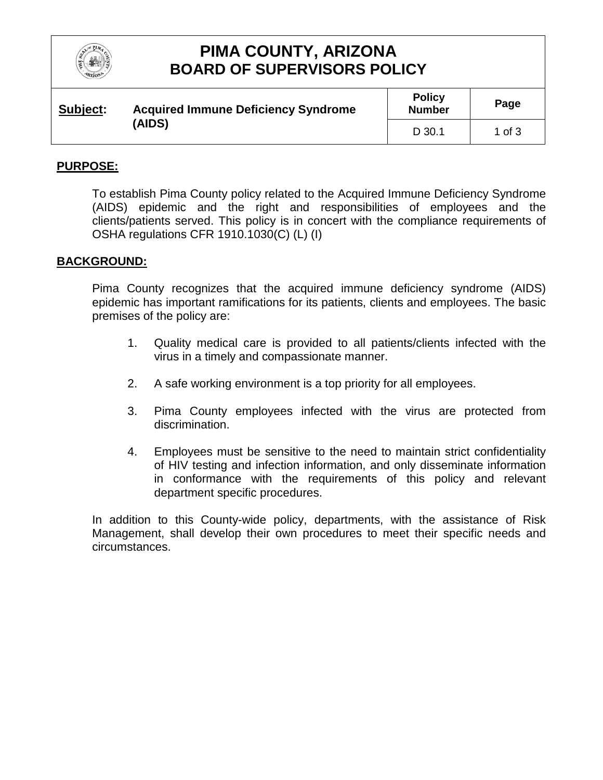

# **PIMA COUNTY, ARIZONA BOARD OF SUPERVISORS POLICY**

| Subject:<br>(AIDS) | <b>Acquired Immune Deficiency Syndrome</b> | <b>Policy</b><br><b>Number</b> | Page   |
|--------------------|--------------------------------------------|--------------------------------|--------|
|                    |                                            | $D$ 30.1                       | 1 of 3 |

#### **PURPOSE:**

To establish Pima County policy related to the Acquired Immune Deficiency Syndrome (AIDS) epidemic and the right and responsibilities of employees and the clients/patients served. This policy is in concert with the compliance requirements of OSHA regulations CFR 1910.1030(C) (L) (I)

#### **BACKGROUND:**

Pima County recognizes that the acquired immune deficiency syndrome (AIDS) epidemic has important ramifications for its patients, clients and employees. The basic premises of the policy are:

- 1. Quality medical care is provided to all patients/clients infected with the virus in a timely and compassionate manner.
- 2. A safe working environment is a top priority for all employees.
- 3. Pima County employees infected with the virus are protected from discrimination.
- 4. Employees must be sensitive to the need to maintain strict confidentiality of HIV testing and infection information, and only disseminate information in conformance with the requirements of this policy and relevant department specific procedures.

In addition to this County-wide policy, departments, with the assistance of Risk Management, shall develop their own procedures to meet their specific needs and circumstances.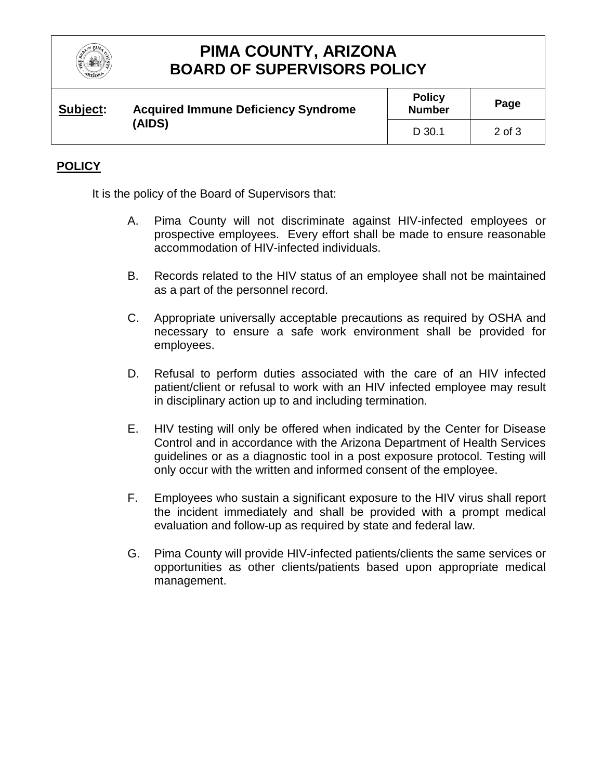

### **PIMA COUNTY, ARIZONA BOARD OF SUPERVISORS POLICY**

| Subject: | <b>Acquired Immune Deficiency Syndrome</b><br>(AIDS) | <b>Policy</b><br><b>Number</b> | Page   |
|----------|------------------------------------------------------|--------------------------------|--------|
|          |                                                      | D 30.1                         | 2 of 3 |

### **POLICY**

It is the policy of the Board of Supervisors that:

- A. Pima County will not discriminate against HIV-infected employees or prospective employees. Every effort shall be made to ensure reasonable accommodation of HIV-infected individuals.
- B. Records related to the HIV status of an employee shall not be maintained as a part of the personnel record.
- C. Appropriate universally acceptable precautions as required by OSHA and necessary to ensure a safe work environment shall be provided for employees.
- D. Refusal to perform duties associated with the care of an HIV infected patient/client or refusal to work with an HIV infected employee may result in disciplinary action up to and including termination.
- E. HIV testing will only be offered when indicated by the Center for Disease Control and in accordance with the Arizona Department of Health Services guidelines or as a diagnostic tool in a post exposure protocol. Testing will only occur with the written and informed consent of the employee.
- F. Employees who sustain a significant exposure to the HIV virus shall report the incident immediately and shall be provided with a prompt medical evaluation and follow-up as required by state and federal law.
- G. Pima County will provide HIV-infected patients/clients the same services or opportunities as other clients/patients based upon appropriate medical management.